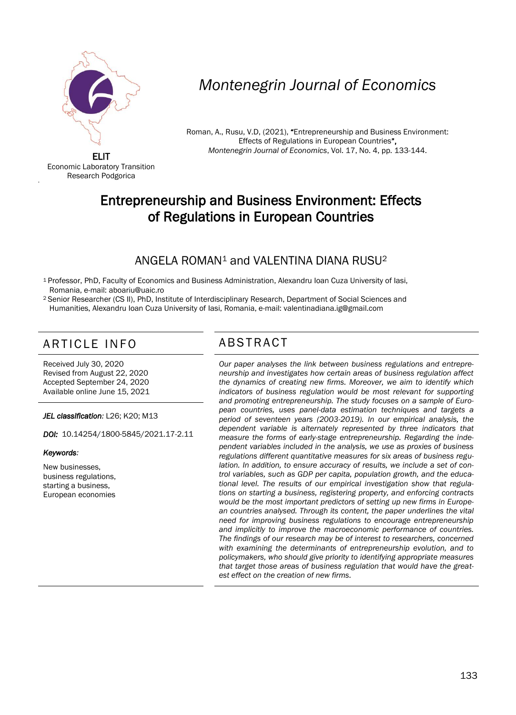

# *Montenegrin Journal of Economics*

Roman, A., Rusu, V.D, (2021), "Entrepreneurship and Business Environment: Effects of Regulations in European Countries", *Montenegrin Journal of Economics*, Vol. 17, No. 4, pp. 133-144.

ELIT Economic Laboratory Transition Research Podgorica

'

## Entrepreneurship and Business Environment: Effects of Regulations in European Countries

## ANGELA ROMAN<sup>1</sup> and VALENTINA DIANA RUSU<sup>2</sup>

<sup>1</sup> Professor, PhD, Faculty of Economics and Business Administration, Alexandru Ioan Cuza University of Iasi, Romania, e-mail: [aboariu@uaic.ro](mailto:aboariu@uaic.ro)

<sup>2</sup>Senior Researcher (CS II), PhD, Institute of Interdisciplinary Research, Department of Social Sciences and Humanities, Alexandru Ioan Cuza University of Iasi, Romania, e-mail: [valentinadiana.ig@gmail.com](mailto:valentinadiana.ig@gmail.com)

## ARTICLE INFO ABSTRACT

Received July 30, 2020 Revised from August 22, 2020 Accepted September 24, 2020 Available online June 15, 2021

*JEL classification:* L26; K20; M13

*DOI:* 10.14254/1800-5845/2021.17-2.11

#### *Keywords:*

New businesses, business regulations, starting a business, European economies

 *Our paper analyses the link between business regulations and entrepreneurship and investigates how certain areas of business regulation affect the dynamics of creating new firms. Moreover, we aim to identify which indicators of business regulation would be most relevant for supporting and promoting entrepreneurship. The study focuses on a sample of European countries, uses panel-data estimation techniques and targets a period of seventeen years (2003-2019). In our empirical analysis, the dependent variable is alternately represented by three indicators that measure the forms of early-stage entrepreneurship. Regarding the independent variables included in the analysis, we use as proxies of business regulations different quantitative measures for six areas of business regulation. In addition, to ensure accuracy of results, we include a set of control variables, such as GDP per capita, population growth, and the educational level. The results of our empirical investigation show that regulations on starting a business, registering property, and enforcing contracts would be the most important predictors of setting up new firms in European countries analysed. Through its content, the paper underlines the vital need for improving business regulations to encourage entrepreneurship and implicitly to improve the macroeconomic performance of countries. The findings of our research may be of interest to researchers, concerned with examining the determinants of entrepreneurship evolution, and to policymakers, who should give priority to identifying appropriate measures that target those areas of business regulation that would have the greatest effect on the creation of new firms.*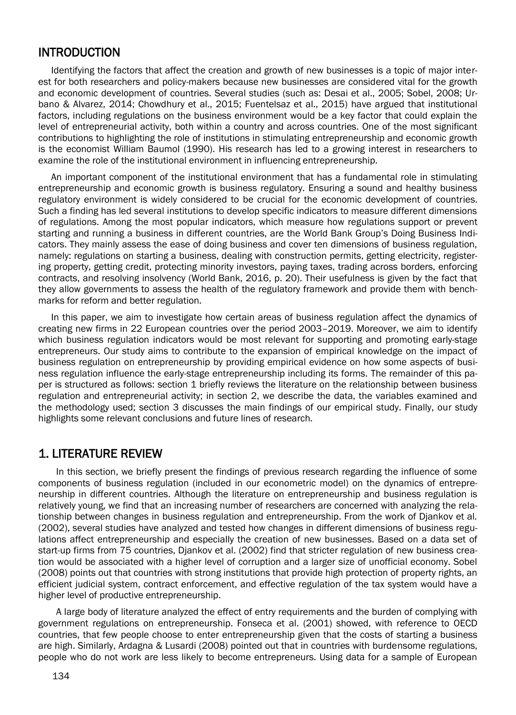#### INTRODUCTION

Identifying the factors that affect the creation and growth of new businesses is a topic of major interest for both researchers and policy-makers because new businesses are considered vital for the growth and economic development of countries. Several studies (such as: Desai et al., 2005; Sobel, 2008; Urbano & Alvarez, 2014; Chowdhury et al., 2015; Fuentelsaz et al., 2015) have argued that institutional factors, including regulations on the business environment would be a key factor that could explain the level of entrepreneurial activity, both within a country and across countries. One of the most significant contributions to highlighting the role of institutions in stimulating entrepreneurship and economic growth is the economist William Baumol (1990). His research has led to a growing interest in researchers to examine the role of the institutional environment in influencing entrepreneurship.

An important component of the institutional environment that has a fundamental role in stimulating entrepreneurship and economic growth is business regulatory. Ensuring a sound and healthy business regulatory environment is widely considered to be crucial for the economic development of countries. Such a finding has led several institutions to develop specific indicators to measure different dimensions of regulations. Among the most popular indicators, which measure how regulations support or prevent starting and running a business in different countries, are the World Bank Group's Doing Business Indicators. They mainly assess the ease of doing business and cover ten dimensions of business regulation, namely: regulations on starting a business, dealing with construction permits, getting electricity, registering property, getting credit, protecting minority investors, paying taxes, trading across borders, enforcing contracts, and resolving insolvency (World Bank, 2016, p. 20). Their usefulness is given by the fact that they allow governments to assess the health of the regulatory framework and provide them with benchmarks for reform and better regulation.

In this paper, we aim to investigate how certain areas of business regulation affect the dynamics of creating new firms in 22 European countries over the period 2003–2019. Moreover, we aim to identify which business regulation indicators would be most relevant for supporting and promoting early-stage entrepreneurs. Our study aims to contribute to the expansion of empirical knowledge on the impact of business regulation on entrepreneurship by providing empirical evidence on how some aspects of business regulation influence the early-stage entrepreneurship including its forms. The remainder of this paper is structured as follows: section 1 briefly reviews the literature on the relationship between business regulation and entrepreneurial activity; in section 2, we describe the data, the variables examined and the methodology used; section 3 discusses the main findings of our empirical study. Finally, our study highlights some relevant conclusions and future lines of research.

### 1. LITERATURE REVIEW

In this section, we briefly present the findings of previous research regarding the influence of some components of business regulation (included in our econometric model) on the dynamics of entrepreneurship in different countries. Although the literature on entrepreneurship and business regulation is relatively young, we find that an increasing number of researchers are concerned with analyzing the relationship between changes in business regulation and entrepreneurship. From the work of Djankov et al. (2002), several studies have analyzed and tested how changes in different dimensions of business regulations affect entrepreneurship and especially the creation of new businesses. Based on a data set of start-up firms from 75 countries, Djankov et al. (2002) find that stricter regulation of new business creation would be associated with a higher level of corruption and a larger size of unofficial economy. Sobel (2008) points out that countries with strong institutions that provide high protection of property rights, an efficient judicial system, contract enforcement, and effective regulation of the tax system would have a higher level of productive entrepreneurship.

A large body of literature analyzed the effect of entry requirements and the burden of complying with government regulations on entrepreneurship. Fonseca et al. (2001) showed, with reference to OECD countries, that few people choose to enter entrepreneurship given that the costs of starting a business are high. Similarly, Ardagna & Lusardi (2008) pointed out that in countries with burdensome regulations, people who do not work are less likely to become entrepreneurs. Using data for a sample of European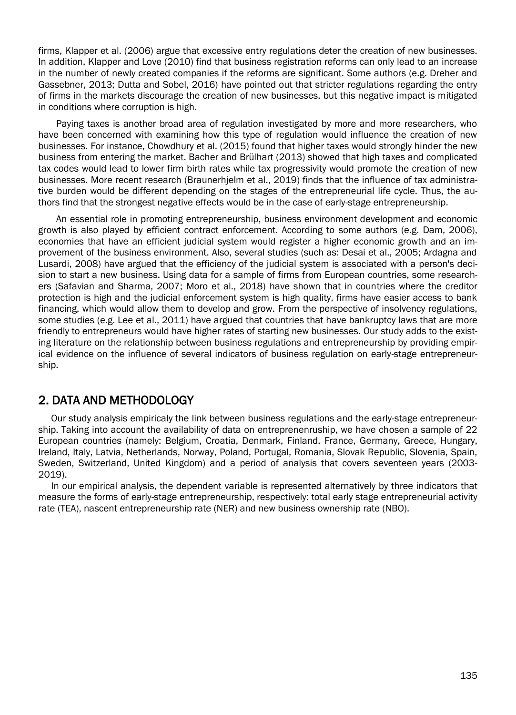firms, Klapper et al. (2006) argue that excessive entry regulations deter the creation of new businesses. In addition, Klapper and Love (2010) find that business registration reforms can only lead to an increase in the number of newly created companies if the reforms are significant. Some authors (e.g. Dreher and Gassebner, 2013; Dutta and Sobel, 2016) have pointed out that stricter regulations regarding the entry of firms in the markets discourage the creation of new businesses, but this negative impact is mitigated in conditions where corruption is high.

Paying taxes is another broad area of regulation investigated by more and more researchers, who have been concerned with examining how this type of regulation would influence the creation of new businesses. For instance, Chowdhury et al. (2015) found that higher taxes would strongly hinder the new business from entering the market. Bacher and Brülhart (2013) showed that high taxes and complicated tax codes would lead to lower firm birth rates while tax progressivity would promote the creation of new businesses. More recent research (Braunerhjelm et al., 2019) finds that the influence of tax administrative burden would be different depending on the stages of the entrepreneurial life cycle. Thus, the authors find that the strongest negative effects would be in the case of early-stage entrepreneurship.

An essential role in promoting entrepreneurship, business environment development and economic growth is also played by efficient contract enforcement. According to some authors (e.g. Dam, 2006), economies that have an efficient judicial system would register a higher economic growth and an improvement of the business environment. Also, several studies (such as: Desai et al., 2005; Ardagna and Lusardi, 2008) have argued that the efficiency of the judicial system is associated with a person's decision to start a new business. Using data for a sample of firms from European countries, some researchers (Safavian and Sharma, 2007; Moro et al., 2018) have shown that in countries where the creditor protection is high and the judicial enforcement system is high quality, firms have easier access to bank financing, which would allow them to develop and grow. From the perspective of insolvency regulations, some studies (e.g. Lee et al., 2011) have argued that countries that have bankruptcy laws that are more friendly to entrepreneurs would have higher rates of starting new businesses. Our study adds to the existing literature on the relationship between business regulations and entrepreneurship by providing empirical evidence on the influence of several indicators of business regulation on early-stage entrepreneurship.

### 2. DATA AND METHODOLOGY

Our study analysis empiricaly the link between business regulations and the early-stage entrepreneurship. Taking into account the availability of data on entreprenenruship, we have chosen a sample of 22 European countries (namely: Belgium, Croatia, Denmark, Finland, France, Germany, Greece, Hungary, Ireland, Italy, Latvia, Netherlands, Norway, Poland, Portugal, Romania, Slovak Republic, Slovenia, Spain, Sweden, Switzerland, United Kingdom) and a period of analysis that covers seventeen years (2003- 2019).

In our empirical analysis, the dependent variable is represented alternatively by three indicators that measure the forms of early-stage entrepreneurship, respectively: total early stage entrepreneurial activity rate (TEA), nascent entrepreneurship rate (NER) and new business ownership rate (NBO).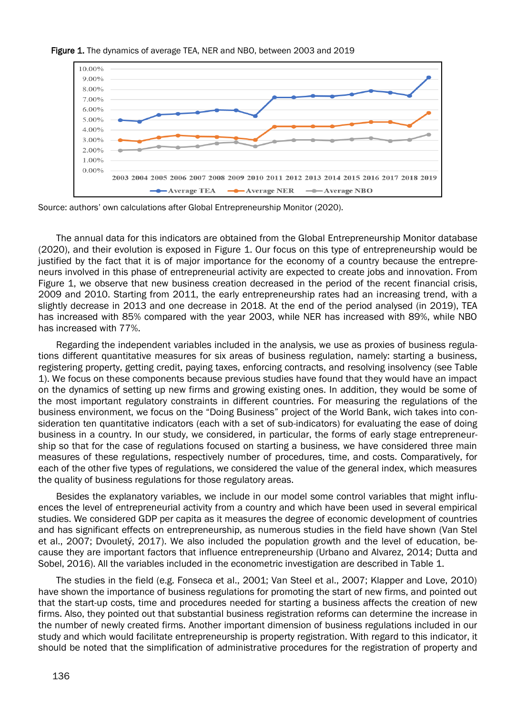

#### Figure 1. The dynamics of average TEA, NER and NBO, between 2003 and 2019

Source: authors' own calculations after Global Entrepreneurship Monitor (2020).

The annual data for this indicators are obtained from the Global Entrepreneurship Monitor database (2020), and their evolution is exposed in Figure 1. Our focus on this type of entrepreneurship would be justified by the fact that it is of major importance for the economy of a country because the entrepreneurs involved in this phase of entrepreneurial activity are expected to create jobs and innovation. From Figure 1, we observe that new business creation decreased in the period of the recent financial crisis, 2009 and 2010. Starting from 2011, the early entrepreneurship rates had an increasing trend, with a slightly decrease in 2013 and one decrease in 2018. At the end of the period analysed (in 2019), TEA has increased with 85% compared with the year 2003, while NER has increased with 89%, while NBO has increased with 77%.

Regarding the independent variables included in the analysis, we use as proxies of business regulations different quantitative measures for six areas of business regulation, namely: starting a business, registering property, getting credit, paying taxes, enforcing contracts, and resolving insolvency (see Table 1). We focus on these components because previous studies have found that they would have an impact on the dynamics of setting up new firms and growing existing ones. In addition, they would be some of the most important regulatory constraints in different countries. For measuring the regulations of the business environment, we focus on the "Doing Business" project of the World Bank, wich takes into consideration ten quantitative indicators (each with a set of sub-indicators) for evaluating the ease of doing business in a country. In our study, we considered, in particular, the forms of early stage entrepreneurship so that for the case of regulations focused on starting a business, we have considered three main measures of these regulations, respectively number of procedures, time, and costs. Comparatively, for each of the other five types of regulations, we considered the value of the general index, which measures the quality of business regulations for those regulatory areas.

Besides the explanatory variables, we include in our model some control variables that might influences the level of entrepreneurial activity from a country and which have been used in several empirical studies. We considered GDP per capita as it measures the degree of economic development of countries and has significant effects on entrepreneurship, as numerous studies in the field have shown (Van Stel et al., 2007; Dvouletý, 2017). We also included the population growth and the level of education, because they are important factors that influence entrepreneurship (Urbano and Alvarez, 2014; Dutta and Sobel, 2016). All the variables included in the econometric investigation are described in Table 1.

The studies in the field (e.g. Fonseca et al., 2001; Van Steel et al., 2007; Klapper and Love, 2010) have shown the importance of business regulations for promoting the start of new firms, and pointed out that the start-up costs, time and procedures needed for starting a business affects the creation of new firms. Also, they pointed out that substantial business registration reforms can determine the increase in the number of newly created firms. Another important dimension of business regulations included in our study and which would facilitate entrepreneurship is property registration. With regard to this indicator, it should be noted that the simplification of administrative procedures for the registration of property and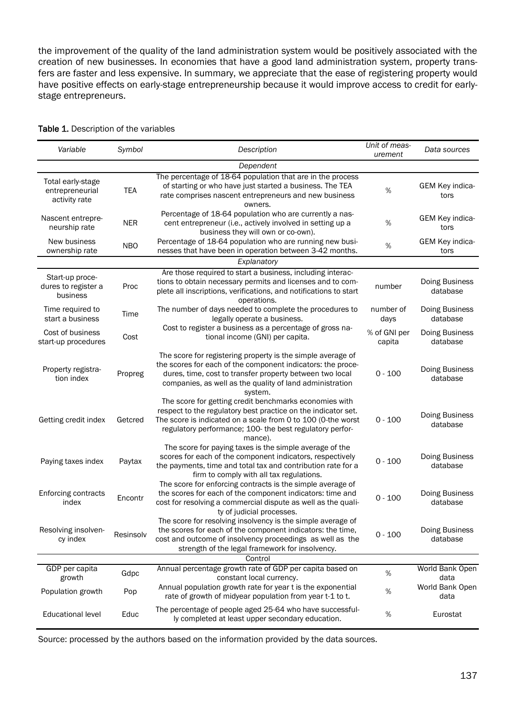the improvement of the quality of the land administration system would be positively associated with the creation of new businesses. In economies that have a good land administration system, property transfers are faster and less expensive. In summary, we appreciate that the ease of registering property would have positive effects on early-stage entrepreneurship because it would improve access to credit for earlystage entrepreneurs.

| Variable                                              | Symbol     | Description                                                                                                                                                                                                                                                    | Unit of meas-<br>urement | Data sources               |
|-------------------------------------------------------|------------|----------------------------------------------------------------------------------------------------------------------------------------------------------------------------------------------------------------------------------------------------------------|--------------------------|----------------------------|
|                                                       |            | Dependent                                                                                                                                                                                                                                                      |                          |                            |
| Total early-stage<br>entrepreneurial<br>activity rate | <b>TEA</b> | The percentage of 18-64 population that are in the process<br>of starting or who have just started a business. The TEA<br>rate comprises nascent entrepreneurs and new business<br>owners.                                                                     | $\%$                     | GEM Key indica-<br>tors    |
| Nascent entrepre-<br>neurship rate                    | <b>NER</b> | Percentage of 18-64 population who are currently a nas-<br>cent entrepreneur (i.e., actively involved in setting up a<br>business they will own or co-own).                                                                                                    | %                        | GEM Key indica-<br>tors    |
| New business<br>ownership rate                        | <b>NBO</b> | Percentage of 18-64 population who are running new busi-<br>nesses that have been in operation between 3-42 months.                                                                                                                                            | $\%$                     | GEM Key indica-<br>tors    |
|                                                       |            | Explanatory                                                                                                                                                                                                                                                    |                          |                            |
| Start-up proce-<br>dures to register a<br>business    | Proc       | Are those required to start a business, including interac-<br>tions to obtain necessary permits and licenses and to com-<br>plete all inscriptions, verifications, and notifications to start<br>operations.                                                   | number                   | Doing Business<br>database |
| Time required to<br>start a business                  | Time       | The number of days needed to complete the procedures to<br>legally operate a business.                                                                                                                                                                         | number of<br>days        | Doing Business<br>database |
| Cost of business<br>start-up procedures               | Cost       | Cost to register a business as a percentage of gross na-<br>tional income (GNI) per capita.                                                                                                                                                                    | % of GNI per<br>capita   | Doing Business<br>database |
| Property registra-<br>tion index                      | Propreg    | The score for registering property is the simple average of<br>the scores for each of the component indicators: the proce-<br>dures, time, cost to transfer property between two local<br>companies, as well as the quality of land administration<br>system.  | $0 - 100$                | Doing Business<br>database |
| Getting credit index                                  | Getcred    | The score for getting credit benchmarks economies with<br>respect to the regulatory best practice on the indicator set.<br>The score is indicated on a scale from 0 to 100 (0-the worst<br>regulatory performance; 100- the best regulatory perfor-<br>mance). | $0 - 100$                | Doing Business<br>database |
| Paying taxes index                                    | Paytax     | The score for paying taxes is the simple average of the<br>scores for each of the component indicators, respectively<br>the payments, time and total tax and contribution rate for a<br>firm to comply with all tax regulations.                               | $0 - 100$                | Doing Business<br>database |
| Enforcing contracts<br>index                          | Encontr    | The score for enforcing contracts is the simple average of<br>the scores for each of the component indicators: time and<br>cost for resolving a commercial dispute as well as the quali-<br>ty of judicial processes.                                          | $0 - 100$                | Doing Business<br>database |
| Resolving insolven-<br>cy index                       | Resinsolv  | The score for resolving insolvency is the simple average of<br>the scores for each of the component indicators: the time,<br>cost and outcome of insolvency proceedings as well as the<br>strength of the legal framework for insolvency.                      | $0 - 100$                | Doing Business<br>database |
|                                                       |            | Control                                                                                                                                                                                                                                                        |                          |                            |
| GDP per capita<br>growth                              | Gdpc       | Annual percentage growth rate of GDP per capita based on<br>constant local currency.                                                                                                                                                                           | %                        | World Bank Open<br>data    |
| Population growth                                     | Pop        | Annual population growth rate for year t is the exponential<br>rate of growth of midyear population from year t-1 to t.                                                                                                                                        | %                        | World Bank Open<br>data    |
| <b>Educational level</b>                              | Educ       | The percentage of people aged 25-64 who have successful-<br>ly completed at least upper secondary education.                                                                                                                                                   | $\%$                     | Eurostat                   |

#### Table 1. Description of the variables

Source: processed by the authors based on the information provided by the data sources.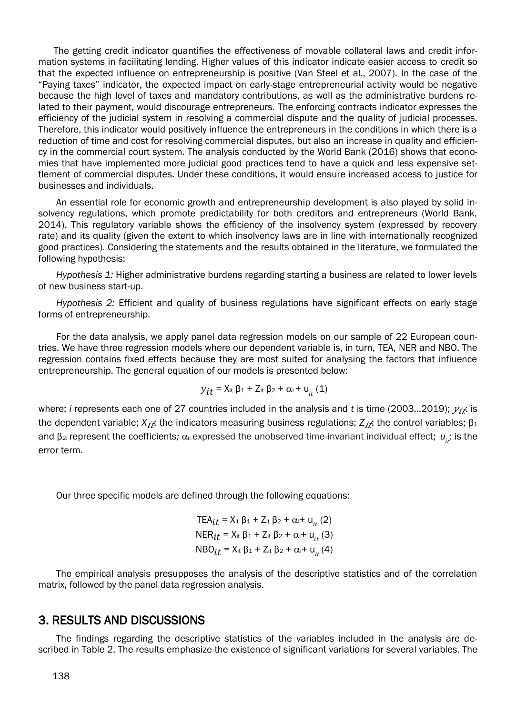The getting credit indicator quantifies the effectiveness of movable collateral laws and credit information systems in facilitating lending. Higher values of this indicator indicate easier access to credit so that the expected influence on entrepreneurship is positive (Van Steel et al., 2007). In the case of the "Paying taxes" indicator, the expected impact on early-stage entrepreneurial activity would be negative because the high level of taxes and mandatory contributions, as well as the administrative burdens related to their payment, would discourage entrepreneurs. The enforcing contracts indicator expresses the efficiency of the judicial system in resolving a commercial dispute and the quality of judicial processes. Therefore, this indicator would positively influence the entrepreneurs in the conditions in which there is a reduction of time and cost for resolving commercial disputes, but also an increase in quality and efficiency in the commercial court system. The analysis conducted by the World Bank (2016) shows that economies that have implemented more judicial good practices tend to have a quick and less expensive settlement of commercial disputes. Under these conditions, it would ensure increased access to justice for businesses and individuals.

An essential role for economic growth and entrepreneurship development is also played by solid insolvency regulations, which promote predictability for both creditors and entrepreneurs (World Bank, 2014). This regulatory variable shows the efficiency of the insolvency system (expressed by recovery rate) and its quality (given the extent to which insolvency laws are in line with internationally recognized good practices). Considering the statements and the results obtained in the literature, we formulated the following hypothesis:

*Hypothesis 1:* Higher administrative burdens regarding starting a business are related to lower levels of new business start-up.

*Hypothesis 2:* Efficient and quality of business regulations have significant effects on early stage forms of entrepreneurship.

For the data analysis, we apply panel data regression models on our sample of 22 European countries. We have three regression models where our dependent variable is, in turn, TEA, NER and NBO. The regression contains fixed effects because they are most suited for analysing the factors that influence entrepreneurship. The general equation of our models is presented below:

$$
y_{it} = X_{it} \beta_1 + Z_{it} \beta_2 + \alpha_i + u_{it} (1)
$$

where: *i* represents each one of 27 countries included in the analysis and *t* is time (2003...2019);  $y_{it}$  is the dependent variable; X<sub>it</sub>: the indicators measuring business regulations; Z<sub>it</sub>: the control variables; β1 and β<sub>2</sub>: represent the coefficients; α<sub>i:</sub> expressed the unobserved time-invariant individual effect; *u<sub>ii</sub>*: is the error term.

Our three specific models are defined through the following equations:

TEA<sub>it</sub> = X<sub>it</sub> β<sub>1</sub> + Z<sub>it</sub> β<sub>2</sub> +  $\alpha$ <sub>i</sub>+ u<sub>it</sub> (2) NER<sub>*it*</sub> = X<sub>it</sub> β<sub>1</sub> + Z<sub>it</sub> β<sub>2</sub> + α<sub>i</sub>+ u<sub>*it*</sub> (3) NBO<sub>it</sub> = X<sub>it</sub> β<sub>1</sub> + Z<sub>it</sub> β<sub>2</sub> +  $\alpha$ <sub>i</sub>+ u<sub>it</sub> (4)

The empirical analysis presupposes the analysis of the descriptive statistics and of the correlation matrix, followed by the panel data regression analysis.

#### 3. RESULTS AND DISCUSSIONS

The findings regarding the descriptive statistics of the variables included in the analysis are described in Table 2. The results emphasize the existence of significant variations for several variables. The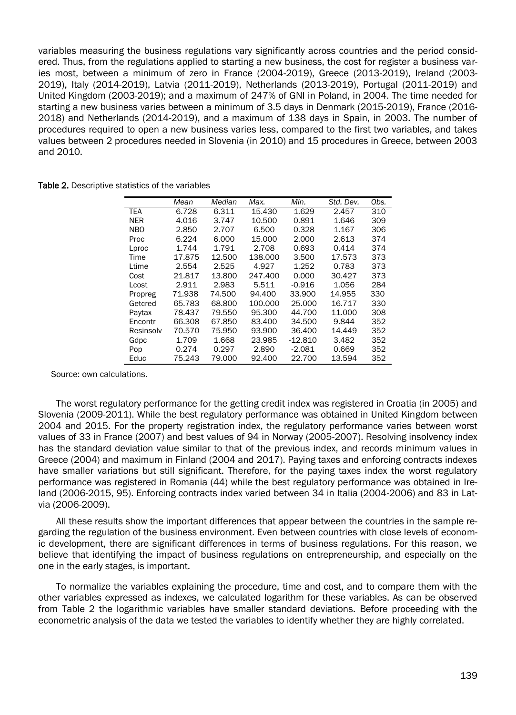variables measuring the business regulations vary significantly across countries and the period considered. Thus, from the regulations applied to starting a new business, the cost for register a business varies most, between a minimum of zero in France (2004-2019), Greece (2013-2019), Ireland (2003- 2019), Italy (2014-2019), Latvia (2011-2019), Netherlands (2013-2019), Portugal (2011-2019) and United Kingdom (2003-2019); and a maximum of 247% of GNI in Poland, in 2004. The time needed for starting a new business varies between a minimum of 3.5 days in Denmark (2015-2019), France (2016- 2018) and Netherlands (2014-2019), and a maximum of 138 days in Spain, in 2003. The number of procedures required to open a new business varies less, compared to the first two variables, and takes values between 2 procedures needed in Slovenia (in 2010) and 15 procedures in Greece, between 2003 and 2010.

| Table 2. Descriptive statistics of the variables |
|--------------------------------------------------|
|--------------------------------------------------|

|            | Mean   | Median | Max.    | Min.      | Std. Dev. | Obs. |
|------------|--------|--------|---------|-----------|-----------|------|
| TEA        | 6.728  | 6.311  | 15.430  | 1.629     | 2.457     | 310  |
| <b>NER</b> | 4.016  | 3.747  | 10.500  | 0.891     | 1.646     | 309  |
| <b>NBO</b> | 2.850  | 2.707  | 6.500   | 0.328     | 1.167     | 306  |
| Proc       | 6.224  | 6.000  | 15.000  | 2.000     | 2.613     | 374  |
| Lproc      | 1.744  | 1.791  | 2.708   | 0.693     | 0.414     | 374  |
| Time       | 17.875 | 12.500 | 138.000 | 3.500     | 17.573    | 373  |
| Ltime      | 2.554  | 2.525  | 4.927   | 1.252     | 0.783     | 373  |
| Cost       | 21.817 | 13.800 | 247.400 | 0.000     | 30.427    | 373  |
| Lcost      | 2.911  | 2.983  | 5.511   | $-0.916$  | 1.056     | 284  |
| Propreg    | 71.938 | 74.500 | 94.400  | 33.900    | 14.955    | 330  |
| Getcred    | 65.783 | 68,800 | 100.000 | 25,000    | 16.717    | 330  |
| Paytax     | 78.437 | 79.550 | 95.300  | 44.700    | 11.000    | 308  |
| Encontr    | 66.308 | 67.850 | 83.400  | 34.500    | 9.844     | 352  |
| Resinsolv  | 70.570 | 75.950 | 93.900  | 36,400    | 14.449    | 352  |
| Gdpc       | 1.709  | 1.668  | 23.985  | $-12.810$ | 3.482     | 352  |
| Pop        | 0.274  | 0.297  | 2.890   | $-2.081$  | 0.669     | 352  |
| Educ       | 75.243 | 79.000 | 92.400  | 22.700    | 13.594    | 352  |

Source: own calculations.

The worst regulatory performance for the getting credit index was registered in Croatia (in 2005) and Slovenia (2009-2011). While the best regulatory performance was obtained in United Kingdom between 2004 and 2015. For the property registration index, the regulatory performance varies between worst values of 33 in France (2007) and best values of 94 in Norway (2005-2007). Resolving insolvency index has the standard deviation value similar to that of the previous index, and records minimum values in Greece (2004) and maximum in Finland (2004 and 2017). Paying taxes and enforcing contracts indexes have smaller variations but still significant. Therefore, for the paying taxes index the worst regulatory performance was registered in Romania (44) while the best regulatory performance was obtained in Ireland (2006-2015, 95). Enforcing contracts index varied between 34 in Italia (2004-2006) and 83 in Latvia (2006-2009).

All these results show the important differences that appear between the countries in the sample regarding the regulation of the business environment. Even between countries with close levels of economic development, there are significant differences in terms of business regulations. For this reason, we believe that identifying the impact of business regulations on entrepreneurship, and especially on the one in the early stages, is important.

To normalize the variables explaining the procedure, time and cost, and to compare them with the other variables expressed as indexes, we calculated logarithm for these variables. As can be observed from Table 2 the logarithmic variables have smaller standard deviations. Before proceeding with the econometric analysis of the data we tested the variables to identify whether they are highly correlated.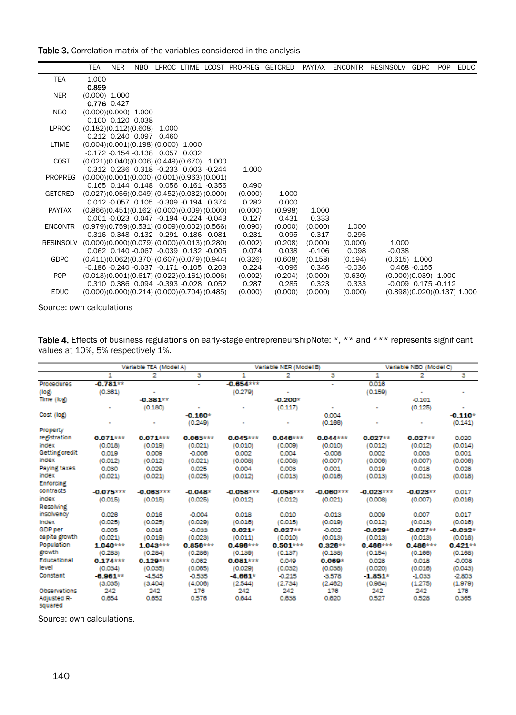Table 3. Correlation matrix of the variables considered in the analysis

|                  | <b>TEA</b>                                   | <b>NER</b>        | NBO. |                                                |  | LPROC LTIME LCOST PROPREG GETCRED |          | PAYTAX   | <b>ENCONTR</b> | RESINSOLV GDPC |                               | POP | <b>EDUC</b> |
|------------------|----------------------------------------------|-------------------|------|------------------------------------------------|--|-----------------------------------|----------|----------|----------------|----------------|-------------------------------|-----|-------------|
| <b>TEA</b>       | 1.000                                        |                   |      |                                                |  |                                   |          |          |                |                |                               |     |             |
|                  | 0.899                                        |                   |      |                                                |  |                                   |          |          |                |                |                               |     |             |
| <b>NER</b>       | $(0.000)$ 1.000                              |                   |      |                                                |  |                                   |          |          |                |                |                               |     |             |
|                  | 0.776 0.427                                  |                   |      |                                                |  |                                   |          |          |                |                |                               |     |             |
| <b>NBO</b>       | $(0.000)(0.000)$ 1.000                       |                   |      |                                                |  |                                   |          |          |                |                |                               |     |             |
|                  |                                              | 0.100 0.120 0.038 |      |                                                |  |                                   |          |          |                |                |                               |     |             |
| <b>LPROC</b>     | $(0.182)(0.112)(0.608)$ 1.000                |                   |      |                                                |  |                                   |          |          |                |                |                               |     |             |
|                  |                                              |                   |      | 0.212 0.240 0.097 0.460                        |  |                                   |          |          |                |                |                               |     |             |
| LTIME            | $(0.004)(0.001)(0.198)(0.000)$ 1.000         |                   |      |                                                |  |                                   |          |          |                |                |                               |     |             |
|                  |                                              |                   |      | $-0.172 - 0.154 - 0.138$ 0.057 0.032           |  |                                   |          |          |                |                |                               |     |             |
| <b>LCOST</b>     | $(0.021)(0.040)(0.006)(0.449)(0.670)$ 1.000  |                   |      |                                                |  |                                   |          |          |                |                |                               |     |             |
| <b>PROPREG</b>   | $(0.000)(0.001)(0.000)(0.001)(0.963)(0.001)$ |                   |      | 0.312 0.236 0.318 -0.233 0.003 -0.244          |  | 1.000                             |          |          |                |                |                               |     |             |
|                  |                                              |                   |      | 0.165 0.144 0.148 0.056 0.161 -0.356           |  | 0.490                             |          |          |                |                |                               |     |             |
| GETCRED          | $(0.027)(0.056)(0.049)(0.452)(0.032)(0.000)$ |                   |      |                                                |  | (0.000)                           | 1.000    |          |                |                |                               |     |             |
|                  |                                              |                   |      | 0.012 -0.057 0.105 -0.309 -0.194 0.374         |  | 0.282                             | 0.000    |          |                |                |                               |     |             |
| <b>PAYTAX</b>    | $(0.866)(0.451)(0.162)(0.000)(0.009)(0.000)$ |                   |      |                                                |  | (0.000)                           | (0.998)  | 1.000    |                |                |                               |     |             |
|                  |                                              |                   |      | 0.001 -0.023 0.047 -0.194 -0.224 -0.043        |  | 0.127                             | 0.431    | 0.333    |                |                |                               |     |             |
| ENCONTR          | $(0.979)(0.759)(0.531)(0.009)(0.002)(0.566)$ |                   |      |                                                |  | (0.090)                           | (0.000)  | (0.000)  | 1.000          |                |                               |     |             |
|                  |                                              |                   |      | $-0.316 - 0.348 - 0.132 - 0.291 - 0.186$ 0.081 |  | 0.231                             | 0.095    | 0.317    | 0.295          |                |                               |     |             |
| <b>RESINSOLV</b> | $(0.000)(0.000)(0.079)(0.000)(0.013)(0.280)$ |                   |      |                                                |  | (0.002)                           | (0.208)  | (0.000)  | (0.000)        | 1.000          |                               |     |             |
|                  |                                              |                   |      | 0.062 0.140 -0.067 -0.039 0.132 -0.005         |  | 0.074                             | 0.038    | $-0.106$ | 0.098          | $-0.038$       |                               |     |             |
| <b>GDPC</b>      | $(0.411)(0.062)(0.370)(0.607)(0.079)(0.944)$ |                   |      |                                                |  | (0.326)                           | (0.608)  | (0.158)  | (0.194)        |                | $(0.615)$ 1.000               |     |             |
|                  |                                              |                   |      | $-0.186 - 0.240 - 0.037 - 0.171 - 0.105$ 0.203 |  | 0.224                             | $-0.096$ | 0.346    | $-0.036$       |                | $0.468 - 0.155$               |     |             |
| <b>POP</b>       | $(0.013)(0.001)(0.617)(0.022)(0.161)(0.006)$ |                   |      |                                                |  | (0.002)                           | (0.204)  | (0.000)  | (0.630)        |                | $(0.000)(0.039)$ 1.000        |     |             |
|                  |                                              |                   |      | 0.310 0.386 0.094 -0.393 -0.028 0.052          |  | 0.287                             | 0.285    | 0.323    | 0.333          |                | $-0.009$ $0.175$ $-0.112$     |     |             |
| <b>EDUC</b>      | (0.000)(0.000)(0.214)(0.000)(0.704)(0.485)   |                   |      |                                                |  | (0.000)                           | (0.000)  | (0.000)  | (0.000)        |                | $(0.898)(0.020)(0.137)$ 1.000 |     |             |

Source: own calculations

| Table 4. Effects of business regulations on early-stage entrepreneurshipNote: *, ** and *** represents significant |  |
|--------------------------------------------------------------------------------------------------------------------|--|
| values at 10%, 5% respectively 1%.                                                                                 |  |

|                   |             | Variable TEA (Model A) |                |             | Variable NER (Model B) |             | Variable NBO (Model C) |            |           |  |
|-------------------|-------------|------------------------|----------------|-------------|------------------------|-------------|------------------------|------------|-----------|--|
|                   | 1           | 2                      | з              | 1           | 2                      | з           | 1                      | 2          | з         |  |
| <b>Procedures</b> | $-0.781**$  |                        | $\blacksquare$ | $-0.654***$ |                        | ٠           | 0.018                  |            |           |  |
| (log)             | (0.361)     |                        |                | (0.279)     |                        |             | (0.159)                |            |           |  |
| Time (log)        |             | $-0.381**$             |                |             | $-0.200*$              |             |                        | $-0.101$   |           |  |
|                   |             | (0.180)                |                |             | (0.117)                | ٠           |                        | (0.125)    |           |  |
| Cost (log)        |             |                        | $-0.160*$      |             |                        | 0.004       |                        |            | $-0.110*$ |  |
|                   |             |                        | (0.249)        |             |                        | (0.166)     |                        |            | (0.141)   |  |
| Property          |             |                        |                |             |                        |             |                        |            |           |  |
| registration      | $0.071***$  | $0.071***$             | $0.063***$     | $0.045***$  | $0.046***$             | $0.044***$  | $0.027**$              | $0.027**$  | 0.020     |  |
| index             | (0.018)     | (0.019)                | (0.021)        | (0.010)     | (0.009)                | (0.010)     | (0.012)                | (0.012)    | (0.014)   |  |
| Getting credit    | 0.019       | 0.009                  | $-0.008$       | 0.002       | 0.004                  | $-0.008$    | 0.002                  | 0.003      | 0.001     |  |
| index             | (0.012)     | (0.012)                | (0.021)        | (0.008)     | (0.008)                | (0.007)     | (0.006)                | (0.007)    | (0.008)   |  |
| Paying taxes      | 0.030       | 0.029                  | 0.025          | 0.004       | 0.003                  | 0.001       | 0.019                  | 0.018      | 0.028     |  |
| index             | (0.021)     | (0.021)                | (0.025)        | (0.012)     | (0.013)                | (0.016)     | (0.013)                | (0.013)    | (0.018)   |  |
| <b>Enforcing</b>  |             |                        |                |             |                        |             |                        |            |           |  |
| contracts         | $-0.075***$ | $-0.063***$            | $-0.048*$      | $-0.058***$ | $-0.058***$            | $-0.060***$ | $-0.023***$            | $-0.023**$ | 0.017     |  |
| index             | (0.015)     | (0.015)                | (0.025)        | (0.012)     | (0.012)                | (0.021)     | (0.008)                | (0.007)    | (0.016)   |  |
| Resolving         |             |                        |                |             |                        |             |                        |            |           |  |
| insolvency        | 0.028       | 0.018                  | $-0.004$       | 0.018       | 0.010                  | $-0.013$    | 0.009                  | 0.007      | 0.017     |  |
| index             | (0.025)     | (0.025)                | (0.029)        | (0.016)     | (0.015)                | (0.019)     | (0.012)                | (0.013)    | (0.016)   |  |
| <b>GDP</b> per    | 0.005       | 0.016                  | $-0.033$       | $0.021*$    | $0.027**$              | $-0.002$    | $-0.029*$              | $-0.027**$ | $-0.032*$ |  |
| capita growth     | (0.021)     | (0.019)                | (0.023)        | (0.011)     | (0.010)                | (0.013)     | (0.013)                | (0.013)    | (0.018)   |  |
| Population        | 1.040***    | $1.043***$             | $0.856***$     | $0.496***$  | $0.501***$             | $0.326**$   | $0.466***$             | $0.486***$ | $0.421**$ |  |
| growth            | (0.283)     | (0.284)                | (0.286)        | (0.139)     | (0.137)                | (0.138)     | (0.154)                | (0.166)    | (0.168)   |  |
| Educational       | $0.174***$  | $0.129***$             | 0.082          | $0.081***$  | 0.049                  | $0.069*$    | 0.028                  | 0.018      | $-0.008$  |  |
| level             | (0.034)     | (0.035)                | (0.085)        | (0.029)     | (0.032)                | (0.038)     | (0.020)                | (0.016)    | (0.043)   |  |
| Constant          | $-6.961**$  | $-4.545$               | $-0.535$       | $-4.661*$   | $-0.215$               | -3,578      | $-1.851*$              | $-1.033$   | $-2.803$  |  |
|                   | (3.035)     | (3,404)                | (4.006)        | (2.544)     | (2.734)                | (2.462)     | (0.984)                | (1.275)    | (1.979)   |  |
| Observations      | 242         | 242                    | 176            | 242         | 242                    | 176         | 242                    | 242        | 176       |  |
| Adjusted R-       | 0.654       | 0.652                  | 0.576          | 0.644       | 0.638                  | 0.620       | 0.527                  | 0.528      | 0.385     |  |
| squared           |             |                        |                |             |                        |             |                        |            |           |  |

Source: own calculations.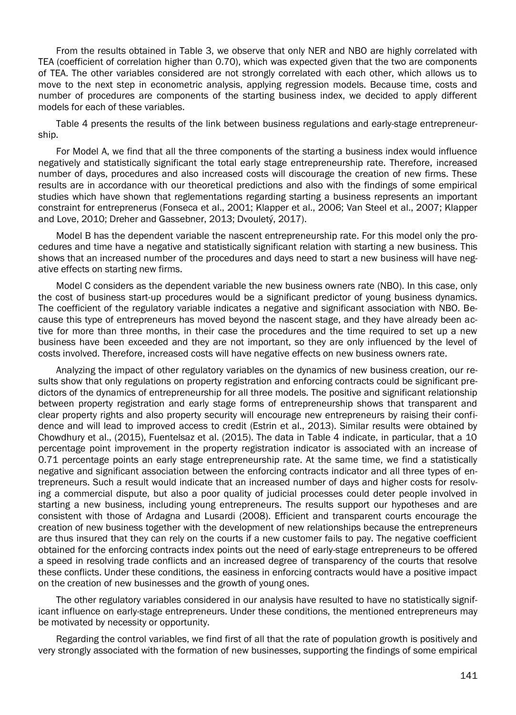From the results obtained in Table 3, we observe that only NER and NBO are highly correlated with TEA (coefficient of correlation higher than 0.70), which was expected given that the two are components of TEA. The other variables considered are not strongly correlated with each other, which allows us to move to the next step in econometric analysis, applying regression models. Because time, costs and number of procedures are components of the starting business index, we decided to apply different models for each of these variables.

Table 4 presents the results of the link between business regulations and early-stage entrepreneurship.

For Model A, we find that all the three components of the starting a business index would influence negatively and statistically significant the total early stage entrepreneurship rate. Therefore, increased number of days, procedures and also increased costs will discourage the creation of new firms. These results are in accordance with our theoretical predictions and also with the findings of some empirical studies which have shown that reglementations regarding starting a business represents an important constraint for entreprenerus (Fonseca et al., 2001; Klapper et al., 2006; Van Steel et al., 2007; Klapper and Love, 2010; Dreher and Gassebner, 2013; Dvouletý, 2017).

Model B has the dependent variable the nascent entrepreneurship rate. For this model only the procedures and time have a negative and statistically significant relation with starting a new business. This shows that an increased number of the procedures and days need to start a new business will have negative effects on starting new firms.

Model C considers as the dependent variable the new business owners rate (NBO). In this case, only the cost of business start-up procedures would be a significant predictor of young business dynamics. The coefficient of the regulatory variable indicates a negative and significant association with NBO. Because this type of entrepreneurs has moved beyond the nascent stage, and they have already been active for more than three months, in their case the procedures and the time required to set up a new business have been exceeded and they are not important, so they are only influenced by the level of costs involved. Therefore, increased costs will have negative effects on new business owners rate.

Analyzing the impact of other regulatory variables on the dynamics of new business creation, our results show that only regulations on property registration and enforcing contracts could be significant predictors of the dynamics of entrepreneurship for all three models. The positive and significant relationship between property registration and early stage forms of entrepreneurship shows that transparent and clear property rights and also property security will encourage new entrepreneurs by raising their confidence and will lead to improved access to credit (Estrin et al., 2013). Similar results were obtained by Chowdhury et al., (2015), Fuentelsaz et al. (2015). The data in Table 4 indicate, in particular, that a 10 percentage point improvement in the property registration indicator is associated with an increase of 0.71 percentage points an early stage entrepreneurship rate. At the same time, we find a statistically negative and significant association between the enforcing contracts indicator and all three types of entrepreneurs. Such a result would indicate that an increased number of days and higher costs for resolving a commercial dispute, but also a poor quality of judicial processes could deter people involved in starting a new business, including young entrepreneurs. The results support our hypotheses and are consistent with those of Ardagna and Lusardi (2008). Efficient and transparent courts encourage the creation of new business together with the development of new relationships because the entrepreneurs are thus insured that they can rely on the courts if a new customer fails to pay. The negative coefficient obtained for the enforcing contracts index points out the need of early-stage entrepreneurs to be offered a speed in resolving trade conflicts and an increased degree of transparency of the courts that resolve these conflicts. Under these conditions, the easiness in enforcing contracts would have a positive impact on the creation of new businesses and the growth of young ones.

The other regulatory variables considered in our analysis have resulted to have no statistically significant influence on early-stage entrepreneurs. Under these conditions, the mentioned entrepreneurs may be motivated by necessity or opportunity.

Regarding the control variables, we find first of all that the rate of population growth is positively and very strongly associated with the formation of new businesses, supporting the findings of some empirical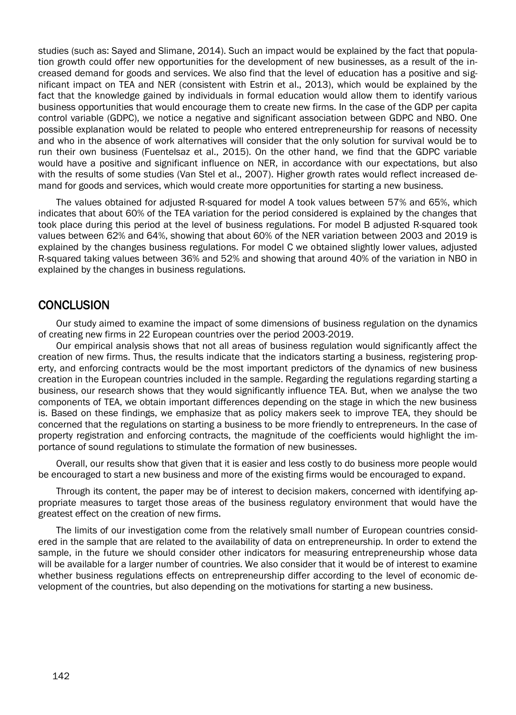studies (such as: Sayed and Slimane, 2014). Such an impact would be explained by the fact that population growth could offer new opportunities for the development of new businesses, as a result of the increased demand for goods and services. We also find that the level of education has a positive and significant impact on TEA and NER (consistent with Estrin et al., 2013), which would be explained by the fact that the knowledge gained by individuals in formal education would allow them to identify various business opportunities that would encourage them to create new firms. In the case of the GDP per capita control variable (GDPC), we notice a negative and significant association between GDPC and NBO. One possible explanation would be related to people who entered entrepreneurship for reasons of necessity and who in the absence of work alternatives will consider that the only solution for survival would be to run their own business (Fuentelsaz et al., 2015). On the other hand, we find that the GDPC variable would have a positive and significant influence on NER, in accordance with our expectations, but also with the results of some studies (Van Stel et al., 2007). Higher growth rates would reflect increased demand for goods and services, which would create more opportunities for starting a new business.

The values obtained for adjusted R-squared for model A took values between 57% and 65%, which indicates that about 60% of the TEA variation for the period considered is explained by the changes that took place during this period at the level of business regulations. For model B adjusted R-squared took values between 62% and 64%, showing that about 60% of the NER variation between 2003 and 2019 is explained by the changes business regulations. For model C we obtained slightly lower values, adjusted R-squared taking values between 36% and 52% and showing that around 40% of the variation in NBO in explained by the changes in business regulations.

#### **CONCLUSION**

Our study aimed to examine the impact of some dimensions of business regulation on the dynamics of creating new firms in 22 European countries over the period 2003-2019.

Our empirical analysis shows that not all areas of business regulation would significantly affect the creation of new firms. Thus, the results indicate that the indicators starting a business, registering property, and enforcing contracts would be the most important predictors of the dynamics of new business creation in the European countries included in the sample. Regarding the regulations regarding starting a business, our research shows that they would significantly influence TEA. But, when we analyse the two components of TEA, we obtain important differences depending on the stage in which the new business is. Based on these findings, we emphasize that as policy makers seek to improve TEA, they should be concerned that the regulations on starting a business to be more friendly to entrepreneurs. In the case of property registration and enforcing contracts, the magnitude of the coefficients would highlight the importance of sound regulations to stimulate the formation of new businesses.

Overall, our results show that given that it is easier and less costly to do business more people would be encouraged to start a new business and more of the existing firms would be encouraged to expand.

Through its content, the paper may be of interest to decision makers, concerned with identifying appropriate measures to target those areas of the business regulatory environment that would have the greatest effect on the creation of new firms.

The limits of our investigation come from the relatively small number of European countries considered in the sample that are related to the availability of data on entrepreneurship. In order to extend the sample, in the future we should consider other indicators for measuring entrepreneurship whose data will be available for a larger number of countries. We also consider that it would be of interest to examine whether business regulations effects on entrepreneurship differ according to the level of economic development of the countries, but also depending on the motivations for starting a new business.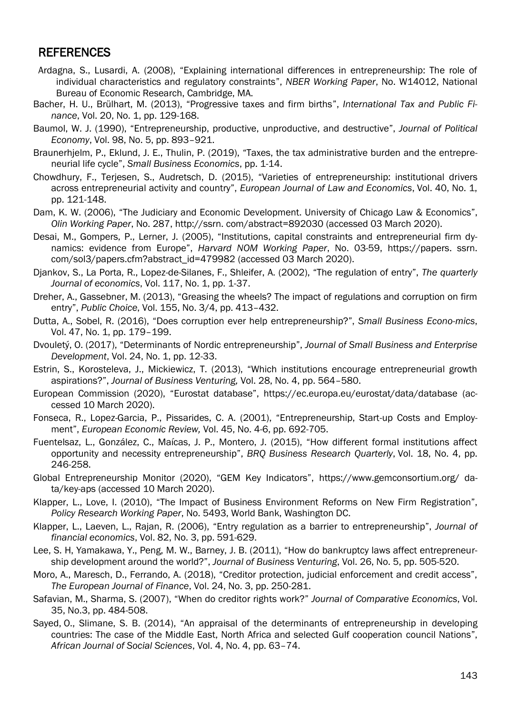#### REFERENCES

- Ardagna, S., Lusardi, A. (2008), "Explaining international differences in entrepreneurship: The role of individual characteristics and regulatory constraints", *NBER Working Paper*, No. W14012, National Bureau of Economic Research, Cambridge, MA.
- Bacher, H. U., Brülhart, M. (2013), "Progressive taxes and firm births", *International Tax and Public Finance*, Vol. 20, No. 1, pp. 129-168.
- Baumol, W. J. (1990), "Entrepreneurship, productive, unproductive, and destructive", *Journal of Political Economy*, Vol. 98, No. 5, pp. 893–921.
- Braunerhjelm, P., Eklund, J. E., Thulin, P. (2019), "Taxes, the tax administrative burden and the entrepreneurial life cycle", *Small Business Economics*, pp. 1-14.
- Chowdhury, F., Terjesen, S., Audretsch, D. (2015), "Varieties of entrepreneurship: institutional drivers across entrepreneurial activity and country", *European Journal of Law and Economics*, Vol. 40, No. 1, pp. 121-148.
- Dam, K. W. (2006), "The Judiciary and Economic Development. University of Chicago Law & Economics", *Olin Working Paper*, No. 287, http://ssrn. com/abstract=892030 (accessed 03 March 2020).
- Desai, M., Gompers, P., Lerner, J. (2005), "Institutions, capital constraints and entrepreneurial firm dynamics: evidence from Europe", *Harvard NOM Working Paper*, No. 03-59, https://papers. ssrn. com/sol3/papers.cfm?abstract\_id=479982 (accessed 03 March 2020).
- Djankov, S., La Porta, R., Lopez-de-Silanes, F., Shleifer, A. (2002), "The regulation of entry", *The quarterly Journal of economics*, Vol. 117, No. 1, pp. 1-37.
- Dreher, A., Gassebner, M. (2013), "Greasing the wheels? The impact of regulations and corruption on firm entry", *Public Choice*, Vol. 155, No. 3/4, pp. 413–432.
- Dutta, A., Sobel, R. (2016), "Does corruption ever help entrepreneurship?", *Small Business Econo-mics*, Vol. 47, No. 1, pp. 179–199.
- Dvouletý, O. (2017), "Determinants of Nordic entrepreneurship", *Journal of Small Business and Enterprise Development*, Vol. 24, No. 1, pp. 12-33.
- Estrin, S., Korosteleva, J., Mickiewicz, T. (2013), "Which institutions encourage entrepreneurial growth aspirations?", *Journal of Business Venturing,* Vol. 28, No. 4, pp. 564–580.
- European Commission (2020), "Eurostat database", https://ec.europa.eu/eurostat/data/database (accessed 10 March 2020).
- Fonseca, R., Lopez-Garcia, P., Pissarides, C. A. (2001), "Entrepreneurship, Start-up Costs and Employment", *European Economic Review,* Vol. 45, No. 4-6, pp. 692-705.
- Fuentelsaz, L., González, C., Maícas, J. P., Montero, J. (2015), "How different formal institutions affect opportunity and necessity entrepreneurship", *BRQ Business Research Quarterly*, Vol. 18, No. 4, pp. 246-258.
- Global Entrepreneurship Monitor (2020), "GEM Key Indicators", https://www.gemconsortium.org/ data/key-aps (accessed 10 March 2020).
- Klapper, L., Love, I. (2010), "The Impact of Business Environment Reforms on New Firm Registration", *Policy Research Working Paper*, No. 5493, World Bank, Washington DC.
- Klapper, L., Laeven, L., Rajan, R. (2006), "Entry regulation as a barrier to entrepreneurship", *Journal of financial economics*, Vol. 82, No. 3, pp. 591-629.
- Lee, S. H, Yamakawa, Y., Peng, M. W., Barney, J. B. (2011), "How do bankruptcy laws affect entrepreneurship development around the world?", *Journal of Business Venturing*, Vol. 26, No. 5, pp. 505-520.
- Moro, A., Maresch, D., Ferrando, A. (2018), "Creditor protection, judicial enforcement and credit access", *The European Journal of Finance*, Vol. 24, No. 3, pp. 250-281.
- Safavian, M., Sharma, S. (2007), "When do creditor rights work?" *Journal of Comparative Economics*, Vol. 35, No.3, pp. 484-508.
- Sayed, O., Slimane, S. B. (2014), "An appraisal of the determinants of entrepreneurship in developing countries: The case of the Middle East, North Africa and selected Gulf cooperation council Nations", *African Journal of Social Sciences*, Vol. 4, No. 4, pp. 63–74.